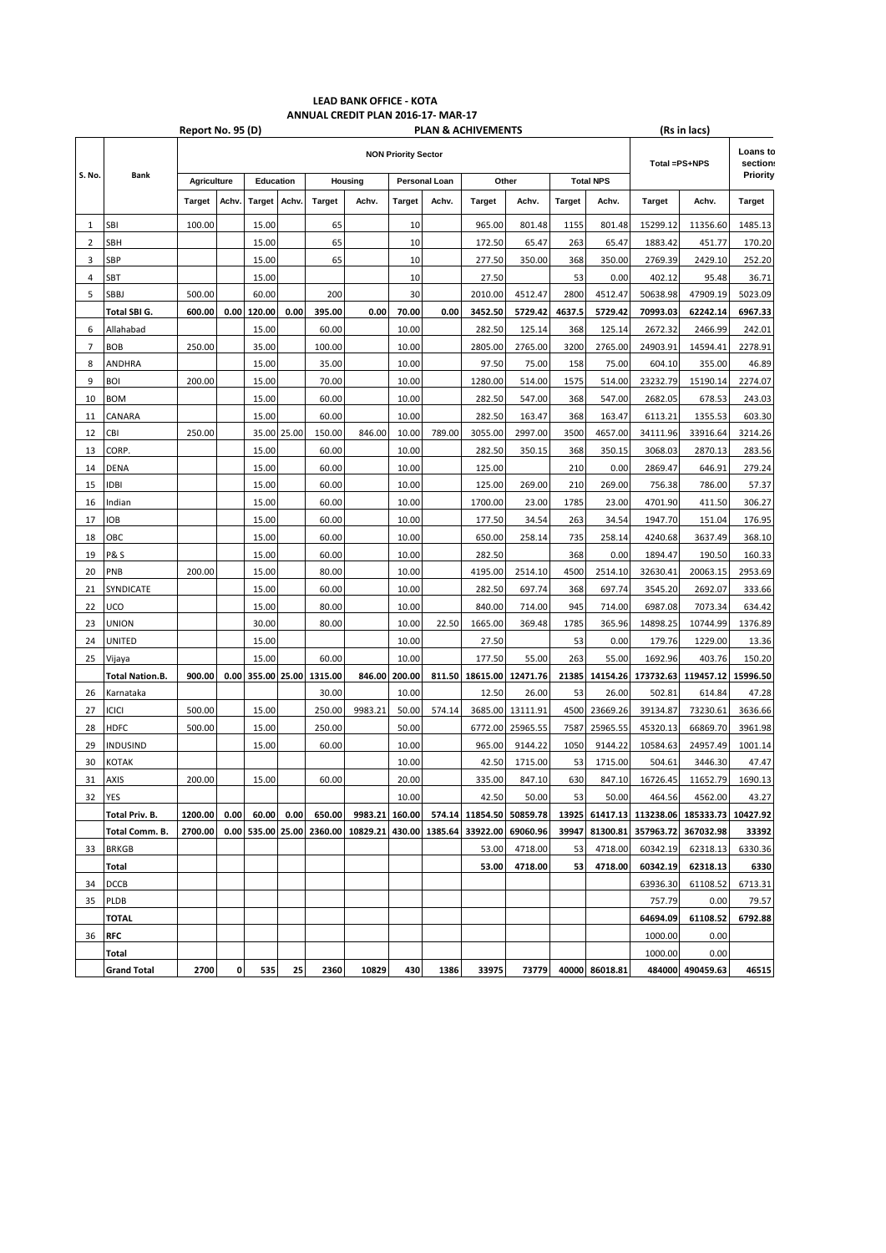## **LEAD BANK OFFICE - KOTA ANNUAL CREDIT PLAN 2016-17- MAR-17**

|          |                                  | Report No. 95 (D)<br><b>PLAN &amp; ACHIVEMENTS</b> |       |               |            |                           |         |               |        |                                                                     |                                         |                  | (Rs in lacs)   |               |                                    |                      |
|----------|----------------------------------|----------------------------------------------------|-------|---------------|------------|---------------------------|---------|---------------|--------|---------------------------------------------------------------------|-----------------------------------------|------------------|----------------|---------------|------------------------------------|----------------------|
|          | Bank                             | <b>NON Priority Sector</b>                         |       |               |            |                           |         |               |        |                                                                     |                                         |                  |                | Total =PS+NPS |                                    | Loans tc<br>section: |
| S. No.   |                                  | <b>Agriculture</b>                                 |       | Education     |            | Housing                   |         | Personal Loan |        | Other                                                               |                                         | <b>Total NPS</b> |                |               |                                    | Priority             |
|          |                                  | Target                                             | Achv. | <b>Target</b> | Achv.      | <b>Target</b>             | Achv.   | <b>Target</b> | Achv.  | <b>Target</b>                                                       | Achv.                                   | <b>Target</b>    | Achv.          | Target        | Achv.                              | Target               |
| 1        | SBI                              | 100.00                                             |       | 15.00         |            | 65                        |         | 10            |        | 965.00                                                              | 801.48                                  | 1155             | 801.48         | 15299.12      | 11356.60                           | 1485.13              |
| 2        | SBH                              |                                                    |       | 15.00         |            | 65                        |         | 10            |        | 172.50                                                              | 65.47                                   | 263              | 65.47          | 1883.42       | 451.77                             | 170.20               |
| 3        | SBP                              |                                                    |       | 15.00         |            | 65                        |         | 10            |        | 277.50                                                              | 350.00                                  | 368              | 350.00         | 2769.39       | 2429.10                            | 252.20               |
| 4        | SBT                              |                                                    |       | 15.00         |            |                           |         | 10            |        | 27.50                                                               |                                         | 53               | 0.00           | 402.12        | 95.48                              | 36.71                |
| 5        | SBBJ                             | 500.00                                             |       | 60.00         |            | 200                       |         | 30            |        | 2010.00                                                             | 4512.47                                 | 2800             | 4512.47        | 50638.98      | 47909.19                           | 5023.09              |
|          | Total SBI G.                     | 600.00                                             | 0.00  | 120.00        | 0.00       | 395.00                    | 0.00    | 70.00         | 0.00   | 3452.50                                                             | 5729.42                                 | 4637.5           | 5729.42        | 70993.03      | 62242.14                           | 6967.33              |
| 6        | Allahabad                        |                                                    |       | 15.00         |            | 60.00                     |         | 10.00         |        | 282.50                                                              | 125.14                                  | 368              | 125.14         | 2672.32       | 2466.99                            | 242.01               |
| 7        | <b>BOB</b>                       | 250.00                                             |       | 35.00         |            | 100.00                    |         | 10.00         |        | 2805.00                                                             | 2765.00                                 | 3200             | 2765.00        | 24903.91      | 14594.41                           | 2278.91              |
| 8        | ANDHRA                           |                                                    |       | 15.00         |            | 35.00                     |         | 10.00         |        | 97.50                                                               | 75.00                                   | 158              | 75.00          | 604.10        | 355.00                             | 46.89                |
| 9        | BOI                              | 200.00                                             |       | 15.00         |            | 70.00                     |         | 10.00         |        | 1280.00                                                             | 514.00                                  | 1575             | 514.00         | 23232.79      | 15190.14                           | 2274.07              |
| 10       | BOM                              |                                                    |       | 15.00         |            | 60.00                     |         | 10.00         |        | 282.50                                                              | 547.00                                  | 368              | 547.00         | 2682.05       | 678.53                             | 243.03               |
| 11       | CANARA                           |                                                    |       | 15.00         |            | 60.00                     |         | 10.00         |        | 282.50                                                              | 163.47                                  | 368              | 163.47         | 6113.21       | 1355.53                            | 603.30               |
| 12       | CBI                              | 250.00                                             |       | 35.00         | 25.00      | 150.00                    | 846.00  | 10.00         | 789.00 | 3055.00                                                             | 2997.00                                 | 3500             | 4657.00        | 34111.96      | 33916.64                           | 3214.26              |
| 13       | CORP.                            |                                                    |       | 15.00         |            | 60.00                     |         | 10.00         |        | 282.50                                                              | 350.15                                  | 368              | 350.15         | 3068.03       | 2870.13                            | 283.56               |
| 14       | DENA                             |                                                    |       | 15.00         |            | 60.00                     |         | 10.00         |        | 125.00                                                              |                                         | 210              | 0.00           | 2869.47       | 646.91                             | 279.24               |
| 15       | IDBI                             |                                                    |       | 15.00         |            | 60.00                     |         | 10.00         |        | 125.00                                                              | 269.00                                  | 210              | 269.00         | 756.38        | 786.00                             | 57.37                |
| 16       | Indian                           |                                                    |       | 15.00         |            | 60.00                     |         | 10.00         |        | 1700.00                                                             | 23.00                                   | 1785             | 23.00          | 4701.90       | 411.50                             | 306.27               |
| 17       | ЮB                               |                                                    |       | 15.00         |            | 60.00                     |         | 10.00         |        | 177.50                                                              | 34.54                                   | 263              | 34.54          | 1947.70       | 151.04                             | 176.95               |
| 18       | ОВС                              |                                                    |       | 15.00         |            | 60.00                     |         | 10.00         |        | 650.00                                                              | 258.14                                  | 735              | 258.14         | 4240.68       | 3637.49                            | 368.10               |
| 19       | <b>P&amp;S</b>                   |                                                    |       | 15.00         |            | 60.00                     |         | 10.00         |        | 282.50                                                              |                                         | 368              | 0.00           | 1894.47       | 190.50                             | 160.33               |
| 20       | PNB                              | 200.00                                             |       | 15.00         |            | 80.00                     |         | 10.00         |        | 4195.00                                                             | 2514.10                                 | 4500             | 2514.10        | 32630.41      | 20063.15                           | 2953.69              |
| 21       | SYNDICATE                        |                                                    |       | 15.00         |            | 60.00                     |         | 10.00         |        | 282.50                                                              | 697.74                                  | 368              | 697.74         | 3545.20       | 2692.07                            | 333.66               |
| 22       | UCO                              |                                                    |       | 15.00         |            | 80.00                     |         | 10.00         |        | 840.00                                                              | 714.00                                  | 945              | 714.00         | 6987.08       | 7073.34                            | 634.42               |
| 23       | union                            |                                                    |       | 30.00         |            | 80.00                     |         | 10.00         | 22.50  | 1665.00                                                             | 369.48                                  | 1785             | 365.96         | 14898.25      | 10744.99                           | 1376.89              |
| 24       | UNITED                           |                                                    |       | 15.00         |            |                           |         | 10.00         |        | 27.50                                                               |                                         | 53               | 0.00           | 179.76        | 1229.00                            |                      |
| 25       |                                  |                                                    |       | 15.00         |            | 60.00                     |         | 10.00         |        | 177.50                                                              | 55.00                                   | 263              | 55.00          | 1692.96       | 403.76                             | 13.36<br>150.20      |
|          | Vijaya<br><b>Total Nation.B.</b> | 900.00                                             |       |               |            | 0.00 355.00 25.00 1315.00 |         | 846.00 200.00 |        | 811.50 18615.00 12471.76                                            |                                         | 21385            | 14154.26       | 173732.63     | 119457.12                          | 15996.50             |
| 26       | Karnataka                        |                                                    |       |               |            | 30.00                     |         | 10.00         |        | 12.50                                                               | 26.00                                   | 53               | 26.00          | 502.81        | 614.84                             | 47.28                |
|          |                                  |                                                    |       |               |            |                           | 9983.21 |               |        |                                                                     | 3685.00 13111.91                        |                  | 23669.26       |               |                                    |                      |
| 27       | icici<br><b>HDFC</b>             | 500.00                                             |       | 15.00         |            | 250.00                    |         | 50.00         | 574.14 |                                                                     |                                         | 4500             |                | 39134.87      | 73230.61                           | 3636.66              |
| 28       |                                  | 500.00                                             |       | 15.00         |            | 250.00<br>60.00           |         | 50.00         |        |                                                                     | 6772.00 25965.55                        | 7587             | 25965.55       | 45320.13      | 66869.70                           | 3961.98              |
| 29<br>30 | INDUSIND                         |                                                    |       | 15.00         |            |                           |         | 10.00         |        | 965.00                                                              | 9144.22                                 | 1050             | 9144.22        | 10584.63      | 24957.49                           | 1001.14              |
|          | КОТАК                            |                                                    |       |               |            |                           |         | 10.00         |        | 42.50                                                               | 1715.00                                 | 53               | 1715.00        | 504.61        | 3446.30                            | 47.47                |
| 31       | AXIS                             | 200.00                                             |       | 15.00         |            | 60.00                     |         | 20.00         |        | 335.00                                                              | 847.10                                  | 630              | 847.10         | 16726.45      | 11652.79                           | 1690.13              |
| 32 IYES  |                                  |                                                    |       |               |            |                           |         | 10.00         |        | 42.50                                                               | 50.00                                   | 53               | 50.00          | 464.56        | 4562.00                            | 43.27                |
|          | Total Priv. B.                   | 1200.00                                            | 0.00  |               | 60.00 0.00 | 650.00                    |         |               |        |                                                                     | 9983.21 160.00 574.14 11854.50 50859.78 |                  |                |               | 13925 61417.13 113238.06 185333.73 | 10427.92             |
|          | Total Comm. B.                   | 2700.00                                            |       |               |            |                           |         |               |        | 0.00 535.00 25.00 2360.00 10829.21 430.00 1385.64 33922.00 69060.96 |                                         |                  | 39947 81300.81 | 357963.72     | 367032.98                          | 33392                |
|          | 33 BRKGB                         |                                                    |       |               |            |                           |         |               |        | 53.00                                                               | 4718.00                                 | 53               | 4718.00        | 60342.19      | 62318.13                           | 6330.36              |
|          | Total                            |                                                    |       |               |            |                           |         |               |        | 53.00                                                               | 4718.00                                 | 53               | 4718.00        | 60342.19      | 62318.13                           | 6330                 |
| 34       | <b>DCCB</b>                      |                                                    |       |               |            |                           |         |               |        |                                                                     |                                         |                  |                | 63936.30      | 61108.52                           | 6713.31              |
| 35       | <b>PLDB</b>                      |                                                    |       |               |            |                           |         |               |        |                                                                     |                                         |                  |                | 757.79        | 0.00                               | 79.57                |
|          | <b>TOTAL</b>                     |                                                    |       |               |            |                           |         |               |        |                                                                     |                                         |                  |                | 64694.09      | 61108.52                           | 6792.88              |
| 36       | <b>RFC</b>                       |                                                    |       |               |            |                           |         |               |        |                                                                     |                                         |                  |                | 1000.00       | 0.00                               |                      |
|          | Total                            |                                                    |       |               |            |                           |         |               |        |                                                                     |                                         |                  |                | 1000.00       | 0.00                               |                      |
|          | <b>Grand Total</b>               | 2700                                               | 0     | 535           | 25         | 2360                      | 10829   | 430           | 1386   | 33975                                                               | 73779                                   |                  | 40000 86018.81 |               | 484000 490459.63                   | 46515                |